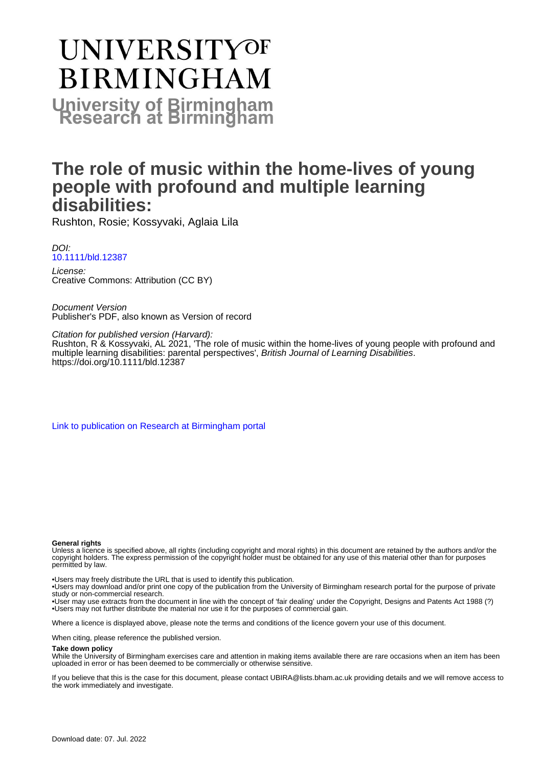# **UNIVERSITYOF BIRMINGHAM University of Birmingham**

# **The role of music within the home-lives of young people with profound and multiple learning disabilities:**

Rushton, Rosie; Kossyvaki, Aglaia Lila

DOI: [10.1111/bld.12387](https://doi.org/10.1111/bld.12387)

License: Creative Commons: Attribution (CC BY)

Document Version Publisher's PDF, also known as Version of record

Citation for published version (Harvard): Rushton, R & Kossyvaki, AL 2021, 'The role of music within the home-lives of young people with profound and multiple learning disabilities: parental perspectives', British Journal of Learning Disabilities. <https://doi.org/10.1111/bld.12387>

[Link to publication on Research at Birmingham portal](https://birmingham.elsevierpure.com/en/publications/d8d018e2-bb7c-4870-82df-a20c58c14475)

#### **General rights**

Unless a licence is specified above, all rights (including copyright and moral rights) in this document are retained by the authors and/or the copyright holders. The express permission of the copyright holder must be obtained for any use of this material other than for purposes permitted by law.

• Users may freely distribute the URL that is used to identify this publication.

• Users may download and/or print one copy of the publication from the University of Birmingham research portal for the purpose of private study or non-commercial research.

• User may use extracts from the document in line with the concept of 'fair dealing' under the Copyright, Designs and Patents Act 1988 (?) • Users may not further distribute the material nor use it for the purposes of commercial gain.

Where a licence is displayed above, please note the terms and conditions of the licence govern your use of this document.

When citing, please reference the published version.

#### **Take down policy**

While the University of Birmingham exercises care and attention in making items available there are rare occasions when an item has been uploaded in error or has been deemed to be commercially or otherwise sensitive.

If you believe that this is the case for this document, please contact UBIRA@lists.bham.ac.uk providing details and we will remove access to the work immediately and investigate.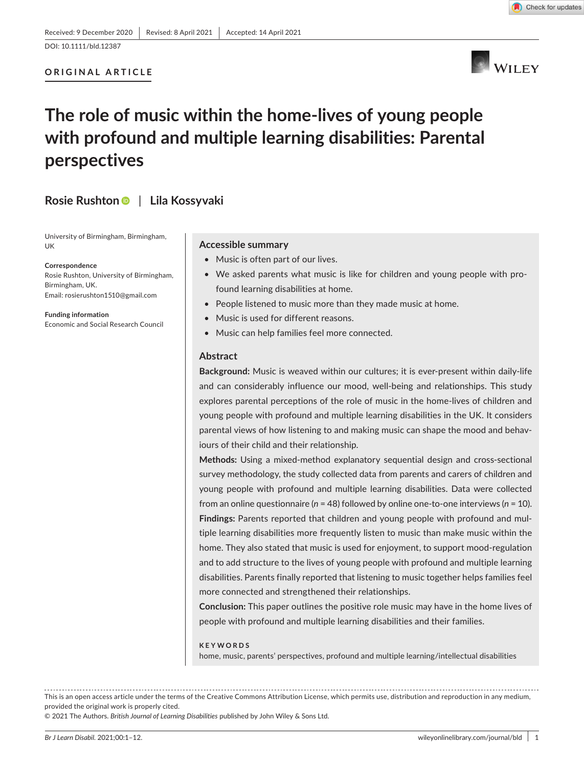# **ORIGINAL ARTICLE**



Check for updates

# **The role of music within the home-lives of young people with profound and multiple learning disabilities: Parental perspectives**

# **Rosie Rushton** | **Lila Kossyvaki**

University of Birmingham, Birmingham, UK

**Correspondence**

Rosie Rushton, University of Birmingham, Birmingham, UK. Email: [rosierushton1510@gmail.com](mailto:rosierushton1510@gmail.com)

**Funding information** Economic and Social Research Council

#### **Accessible summary**

- Music is often part of our lives.
- We asked parents what music is like for children and young people with profound learning disabilities at home.
- People listened to music more than they made music at home.
- Music is used for different reasons.
- Music can help families feel more connected.

#### **Abstract**

**Background:** Music is weaved within our cultures; it is ever-present within daily-life and can considerably influence our mood, well-being and relationships. This study explores parental perceptions of the role of music in the home-lives of children and young people with profound and multiple learning disabilities in the UK. It considers parental views of how listening to and making music can shape the mood and behaviours of their child and their relationship.

**Methods:** Using a mixed-method explanatory sequential design and cross-sectional survey methodology, the study collected data from parents and carers of children and young people with profound and multiple learning disabilities. Data were collected from an online questionnaire (*n* = 48) followed by online one-to-one interviews (*n* = 10). **Findings:** Parents reported that children and young people with profound and multiple learning disabilities more frequently listen to music than make music within the home. They also stated that music is used for enjoyment, to support mood-regulation and to add structure to the lives of young people with profound and multiple learning disabilities. Parents finally reported that listening to music together helps families feel more connected and strengthened their relationships.

**Conclusion:** This paper outlines the positive role music may have in the home lives of people with profound and multiple learning disabilities and their families.

#### **KEYWORDS**

home, music, parents' perspectives, profound and multiple learning/intellectual disabilities

This is an open access article under the terms of the [Creative Commons Attribution](http://creativecommons.org/licenses/by/4.0/) License, which permits use, distribution and reproduction in any medium, provided the original work is properly cited.

© 2021 The Authors. *British Journal of Learning Disabilities* published by John Wiley & Sons Ltd.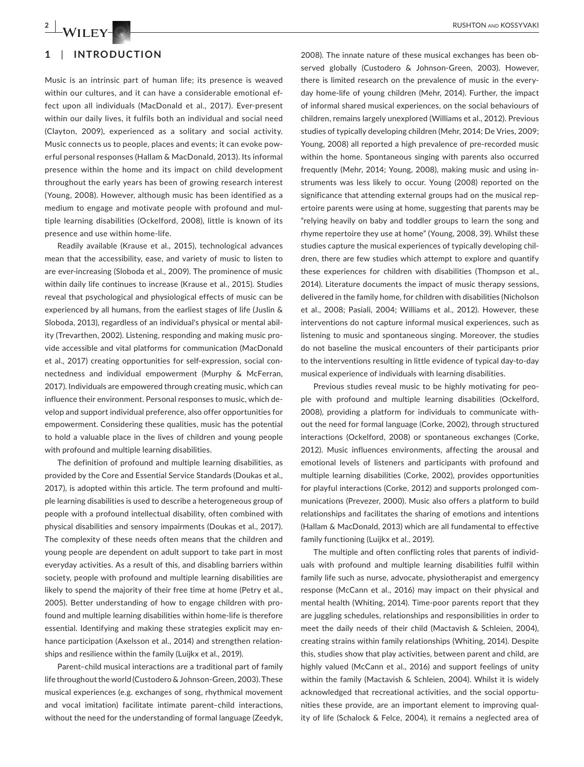# **1**  | **INTRODUCTION**

Music is an intrinsic part of human life; its presence is weaved within our cultures, and it can have a considerable emotional effect upon all individuals (MacDonald et al., 2017). Ever-present within our daily lives, it fulfils both an individual and social need (Clayton, 2009), experienced as a solitary and social activity. Music connects us to people, places and events; it can evoke powerful personal responses (Hallam & MacDonald, 2013). Its informal presence within the home and its impact on child development throughout the early years has been of growing research interest (Young, 2008). However, although music has been identified as a medium to engage and motivate people with profound and multiple learning disabilities (Ockelford, 2008), little is known of its presence and use within home-life.

Readily available (Krause et al., 2015), technological advances mean that the accessibility, ease, and variety of music to listen to are ever-increasing (Sloboda et al., 2009). The prominence of music within daily life continues to increase (Krause et al., 2015). Studies reveal that psychological and physiological effects of music can be experienced by all humans, from the earliest stages of life (Juslin & Sloboda, 2013), regardless of an individual's physical or mental ability (Trevarthen, 2002). Listening, responding and making music provide accessible and vital platforms for communication (MacDonald et al., 2017) creating opportunities for self-expression, social connectedness and individual empowerment (Murphy & McFerran, 2017). Individuals are empowered through creating music, which can influence their environment. Personal responses to music, which develop and support individual preference, also offer opportunities for empowerment. Considering these qualities, music has the potential to hold a valuable place in the lives of children and young people with profound and multiple learning disabilities.

The definition of profound and multiple learning disabilities, as provided by the Core and Essential Service Standards (Doukas et al., 2017), is adopted within this article. The term profound and multiple learning disabilities is used to describe a heterogeneous group of people with a profound intellectual disability, often combined with physical disabilities and sensory impairments (Doukas et al., 2017). The complexity of these needs often means that the children and young people are dependent on adult support to take part in most everyday activities. As a result of this, and disabling barriers within society, people with profound and multiple learning disabilities are likely to spend the majority of their free time at home (Petry et al., 2005). Better understanding of how to engage children with profound and multiple learning disabilities within home-life is therefore essential. Identifying and making these strategies explicit may enhance participation (Axelsson et al., 2014) and strengthen relationships and resilience within the family (Luijkx et al., 2019).

Parent–child musical interactions are a traditional part of family life throughout the world (Custodero & Johnson-Green, 2003). These musical experiences (e.g. exchanges of song, rhythmical movement and vocal imitation) facilitate intimate parent–child interactions, without the need for the understanding of formal language (Zeedyk,

2008). The innate nature of these musical exchanges has been observed globally (Custodero & Johnson-Green, 2003). However, there is limited research on the prevalence of music in the everyday home-life of young children (Mehr, 2014). Further, the impact of informal shared musical experiences, on the social behaviours of children, remains largely unexplored (Williams et al., 2012). Previous studies of typically developing children (Mehr, 2014; De Vries, 2009; Young, 2008) all reported a high prevalence of pre-recorded music within the home. Spontaneous singing with parents also occurred frequently (Mehr, 2014; Young, 2008), making music and using instruments was less likely to occur. Young (2008) reported on the significance that attending external groups had on the musical repertoire parents were using at home, suggesting that parents may be "relying heavily on baby and toddler groups to learn the song and rhyme repertoire they use at home" (Young, 2008, 39). Whilst these studies capture the musical experiences of typically developing children, there are few studies which attempt to explore and quantify these experiences for children with disabilities (Thompson et al., 2014). Literature documents the impact of music therapy sessions, delivered in the family home, for children with disabilities (Nicholson et al., 2008; Pasiali, 2004; Williams et al., 2012). However, these interventions do not capture informal musical experiences, such as listening to music and spontaneous singing. Moreover, the studies do not baseline the musical encounters of their participants prior to the interventions resulting in little evidence of typical day-to-day musical experience of individuals with learning disabilities.

Previous studies reveal music to be highly motivating for people with profound and multiple learning disabilities (Ockelford, 2008), providing a platform for individuals to communicate without the need for formal language (Corke, 2002), through structured interactions (Ockelford, 2008) or spontaneous exchanges (Corke, 2012). Music influences environments, affecting the arousal and emotional levels of listeners and participants with profound and multiple learning disabilities (Corke, 2002), provides opportunities for playful interactions (Corke, 2012) and supports prolonged communications (Prevezer, 2000). Music also offers a platform to build relationships and facilitates the sharing of emotions and intentions (Hallam & MacDonald, 2013) which are all fundamental to effective family functioning (Luijkx et al., 2019).

The multiple and often conflicting roles that parents of individuals with profound and multiple learning disabilities fulfil within family life such as nurse, advocate, physiotherapist and emergency response (McCann et al., 2016) may impact on their physical and mental health (Whiting, 2014). Time-poor parents report that they are juggling schedules, relationships and responsibilities in order to meet the daily needs of their child (Mactavish & Schleien, 2004), creating strains within family relationships (Whiting, 2014). Despite this, studies show that play activities, between parent and child, are highly valued (McCann et al., 2016) and support feelings of unity within the family (Mactavish & Schleien, 2004). Whilst it is widely acknowledged that recreational activities, and the social opportunities these provide, are an important element to improving quality of life (Schalock & Felce, 2004), it remains a neglected area of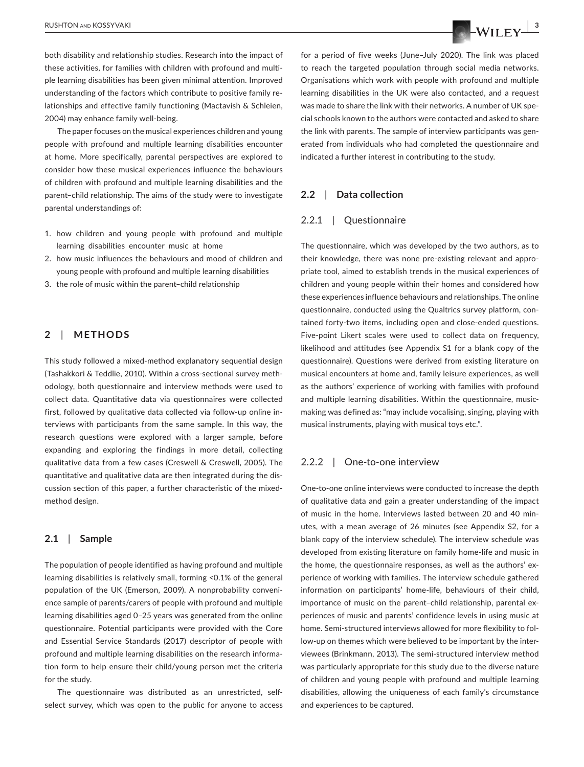both disability and relationship studies. Research into the impact of these activities, for families with children with profound and multiple learning disabilities has been given minimal attention. Improved understanding of the factors which contribute to positive family relationships and effective family functioning (Mactavish & Schleien, 2004) may enhance family well-being.

The paper focuses on the musical experiences children and young people with profound and multiple learning disabilities encounter at home. More specifically, parental perspectives are explored to consider how these musical experiences influence the behaviours of children with profound and multiple learning disabilities and the parent–child relationship. The aims of the study were to investigate parental understandings of:

- 1. how children and young people with profound and multiple learning disabilities encounter music at home
- 2. how music influences the behaviours and mood of children and young people with profound and multiple learning disabilities
- 3. the role of music within the parent–child relationship

# **2**  | **METHODS**

This study followed a mixed-method explanatory sequential design (Tashakkori & Teddlie, 2010). Within a cross-sectional survey methodology, both questionnaire and interview methods were used to collect data. Quantitative data via questionnaires were collected first, followed by qualitative data collected via follow-up online interviews with participants from the same sample. In this way, the research questions were explored with a larger sample, before expanding and exploring the findings in more detail, collecting qualitative data from a few cases (Creswell & Creswell, 2005). The quantitative and qualitative data are then integrated during the discussion section of this paper, a further characteristic of the mixedmethod design.

#### **2.1**  | **Sample**

The population of people identified as having profound and multiple learning disabilities is relatively small, forming <0.1% of the general population of the UK (Emerson, 2009). A nonprobability convenience sample of parents/carers of people with profound and multiple learning disabilities aged 0–25 years was generated from the online questionnaire. Potential participants were provided with the Core and Essential Service Standards (2017) descriptor of people with profound and multiple learning disabilities on the research information form to help ensure their child/young person met the criteria for the study.

The questionnaire was distributed as an unrestricted, selfselect survey, which was open to the public for anyone to access

for a period of five weeks (June–July 2020). The link was placed to reach the targeted population through social media networks. Organisations which work with people with profound and multiple learning disabilities in the UK were also contacted, and a request was made to share the link with their networks. A number of UK special schools known to the authors were contacted and asked to share the link with parents. The sample of interview participants was generated from individuals who had completed the questionnaire and indicated a further interest in contributing to the study.

#### **2.2**  | **Data collection**

#### 2.2.1 | Questionnaire

The questionnaire, which was developed by the two authors, as to their knowledge, there was none pre-existing relevant and appropriate tool, aimed to establish trends in the musical experiences of children and young people within their homes and considered how these experiences influence behaviours and relationships. The online questionnaire, conducted using the Qualtrics survey platform, contained forty-two items, including open and close-ended questions. Five-point Likert scales were used to collect data on frequency, likelihood and attitudes (see Appendix S1 for a blank copy of the questionnaire). Questions were derived from existing literature on musical encounters at home and, family leisure experiences, as well as the authors' experience of working with families with profound and multiple learning disabilities. Within the questionnaire, musicmaking was defined as: "may include vocalising, singing, playing with musical instruments, playing with musical toys etc.".

#### 2.2.2 | One-to-one interview

One-to-one online interviews were conducted to increase the depth of qualitative data and gain a greater understanding of the impact of music in the home. Interviews lasted between 20 and 40 minutes, with a mean average of 26 minutes (see Appendix S2, for a blank copy of the interview schedule). The interview schedule was developed from existing literature on family home-life and music in the home, the questionnaire responses, as well as the authors' experience of working with families. The interview schedule gathered information on participants' home-life, behaviours of their child, importance of music on the parent–child relationship, parental experiences of music and parents' confidence levels in using music at home. Semi-structured interviews allowed for more flexibility to follow-up on themes which were believed to be important by the interviewees (Brinkmann, 2013). The semi-structured interview method was particularly appropriate for this study due to the diverse nature of children and young people with profound and multiple learning disabilities, allowing the uniqueness of each family's circumstance and experiences to be captured.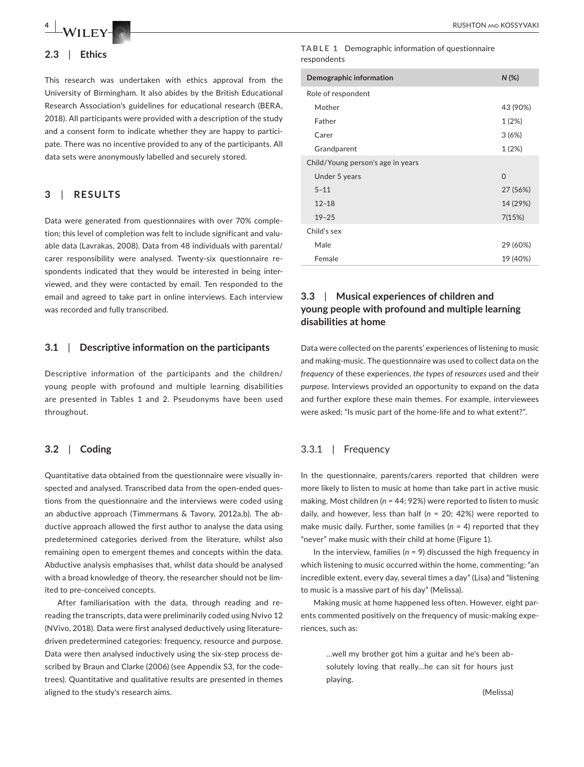

#### **2.3**  | **Ethics**

This research was undertaken with ethics approval from the University of Birmingham. It also abides by the British Educational Research Association's guidelines for educational research (BERA, 2018). All participants were provided with a description of the study and a consent form to indicate whether they are happy to participate. There was no incentive provided to any of the participants. All data sets were anonymously labelled and securely stored.

### **3**  | **RESULTS**

Data were generated from questionnaires with over 70% completion; this level of completion was felt to include significant and valuable data (Lavrakas, 2008). Data from 48 individuals with parental/ carer responsibility were analysed. Twenty-six questionnaire respondents indicated that they would be interested in being interviewed, and they were contacted by email. Ten responded to the email and agreed to take part in online interviews. Each interview was recorded and fully transcribed.

#### **3.1**  | **Descriptive information on the participants**

Descriptive information of the participants and the children/ young people with profound and multiple learning disabilities are presented in Tables 1 and 2. Pseudonyms have been used throughout.

#### **3.2**  | **Coding**

Quantitative data obtained from the questionnaire were visually inspected and analysed. Transcribed data from the open-ended questions from the questionnaire and the interviews were coded using an abductive approach (Timmermans & Tavory, 2012a,b). The abductive approach allowed the first author to analyse the data using predetermined categories derived from the literature, whilst also remaining open to emergent themes and concepts within the data. Abductive analysis emphasises that, whilst data should be analysed with a broad knowledge of theory, the researcher should not be limited to pre-conceived concepts.

After familiarisation with the data, through reading and rereading the transcripts, data were preliminarily coded using Nvivo 12 (NVivo, 2018). Data were first analysed deductively using literaturedriven predetermined categories: frequency, resource and purpose. Data were then analysed inductively using the six-step process described by Braun and Clarke (2006) (see Appendix S3, for the codetrees). Quantitative and qualitative results are presented in themes aligned to the study's research aims.

#### **TABLE 1** Demographic information of questionnaire respondents

| Demographic information           | $N$ (%)  |  |  |  |  |
|-----------------------------------|----------|--|--|--|--|
| Role of respondent                |          |  |  |  |  |
| Mother                            | 43 (90%) |  |  |  |  |
| Father                            | 1(2%)    |  |  |  |  |
| Carer                             | 3(6%)    |  |  |  |  |
| Grandparent                       | 1(2%)    |  |  |  |  |
| Child/Young person's age in years |          |  |  |  |  |
| Under 5 years                     | $\Omega$ |  |  |  |  |
| $5 - 11$                          | 27 (56%) |  |  |  |  |
| $12 - 18$                         | 14 (29%) |  |  |  |  |
| $19 - 25$                         | 7(15%)   |  |  |  |  |
| Child's sex                       |          |  |  |  |  |
| Male                              | 29 (60%) |  |  |  |  |
| Female                            | 19 (40%) |  |  |  |  |

# **3.3**  | **Musical experiences of children and young people with profound and multiple learning disabilities at home**

Data were collected on the parents' experiences of listening to music and making-music. The questionnaire was used to collect data on the *frequency* of these experiences, *the types of resources* used and their *purpose*. Interviews provided an opportunity to expand on the data and further explore these main themes. For example, interviewees were asked; "Is music part of the home-life and to what extent?".

# 3.3.1 | Frequency

In the questionnaire, parents/carers reported that children were more likely to listen to music at home than take part in active music making. Most children (n = 44; 92%) were reported to listen to music daily, and however, less than half (*n* = 20; 42%) were reported to make music daily. Further, some families (*n* = 4) reported that they "never" make music with their child at home (Figure 1).

In the interview, families (*n* = 9) discussed the high frequency in which listening to music occurred within the home, commenting: "an incredible extent, every day, several times a day" (Lisa) and "listening to music is a massive part of his day" (Melissa).

Making music at home happened less often. However, eight parents commented positively on the frequency of music-making experiences, such as:

> …well my brother got him a guitar and he's been absolutely loving that really…he can sit for hours just playing.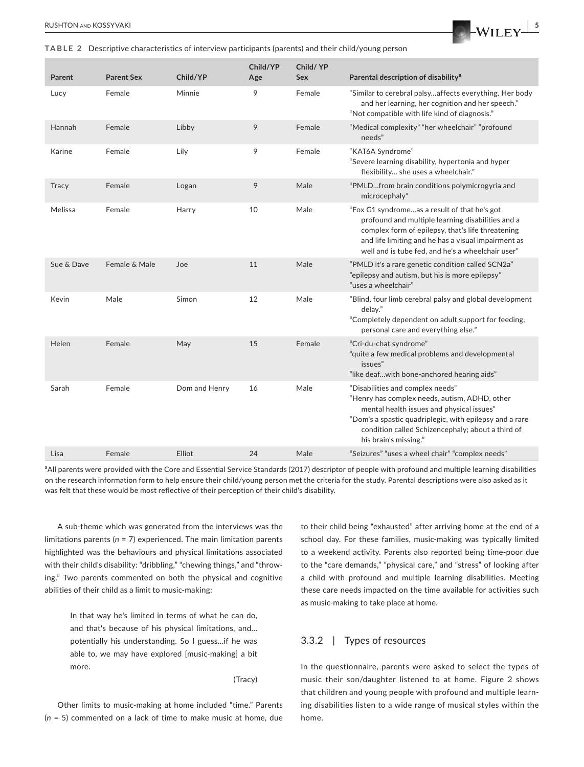**TABLE 2** Descriptive characteristics of interview participants (parents) and their child/young person

|  | Parent       | <b>Parent Sex</b> | Child/YP      | Child/YP<br>Age | Child/YP<br>Sex | Parental description of disability <sup>a</sup>                                                                                                                                                                                                                         |
|--|--------------|-------------------|---------------|-----------------|-----------------|-------------------------------------------------------------------------------------------------------------------------------------------------------------------------------------------------------------------------------------------------------------------------|
|  | Lucy         | Female            | Minnie        | 9               | Female          | "Similar to cerebral palsyaffects everything. Her body<br>and her learning, her cognition and her speech."<br>"Not compatible with life kind of diagnosis."                                                                                                             |
|  | Hannah       | Female            | Libby         | 9               | Female          | "Medical complexity" "her wheelchair" "profound<br>needs"                                                                                                                                                                                                               |
|  | Karine       | Female            | Lily          | 9               | Female          | "KAT6A Syndrome"<br>"Severe learning disability, hypertonia and hyper<br>flexibility she uses a wheelchair."                                                                                                                                                            |
|  | <b>Tracy</b> | Female            | Logan         | 9               | Male            | "PMLDfrom brain conditions polymicrogyria and<br>microcephaly"                                                                                                                                                                                                          |
|  | Melissa      | Female            | Harry         | 10              | Male            | "Fox G1 syndromeas a result of that he's got<br>profound and multiple learning disabilities and a<br>complex form of epilepsy, that's life threatening<br>and life limiting and he has a visual impairment as<br>well and is tube fed, and he's a wheelchair user"      |
|  | Sue & Dave   | Female & Male     | Joe           | 11              | Male            | "PMLD it's a rare genetic condition called SCN2a"<br>"epilepsy and autism, but his is more epilepsy"<br>"uses a wheelchair"                                                                                                                                             |
|  | Kevin        | Male              | Simon         | 12              | Male            | "Blind, four limb cerebral palsy and global development<br>delay."<br>"Completely dependent on adult support for feeding,<br>personal care and everything else."                                                                                                        |
|  | Helen        | Female            | May           | 15              | Female          | "Cri-du-chat syndrome"<br>"quite a few medical problems and developmental<br>issues"<br>"like deafwith bone-anchored hearing aids"                                                                                                                                      |
|  | Sarah        | Female            | Dom and Henry | 16              | Male            | "Disabilities and complex needs"<br>"Henry has complex needs, autism, ADHD, other<br>mental health issues and physical issues"<br>"Dom's a spastic quadriplegic, with epilepsy and a rare<br>condition called Schizencephaly; about a third of<br>his brain's missing." |
|  | Lisa         | Female            | Elliot        | 24              | Male            | "Seizures" "uses a wheel chair" "complex needs"                                                                                                                                                                                                                         |

<sup>a</sup>All parents were provided with the Core and Essential Service Standards (2017) descriptor of people with profound and multiple learning disabilities on the research information form to help ensure their child/young person met the criteria for the study. Parental descriptions were also asked as it was felt that these would be most reflective of their perception of their child's disability.

A sub-theme which was generated from the interviews was the limitations parents (*n* = 7) experienced. The main limitation parents highlighted was the behaviours and physical limitations associated with their child's disability: "dribbling," "chewing things," and "throwing." Two parents commented on both the physical and cognitive abilities of their child as a limit to music-making:

> In that way he's limited in terms of what he can do, and that's because of his physical limitations, and… potentially his understanding. So I guess…if he was able to, we may have explored [music-making] a bit more.

> > (Tracy)

Other limits to music-making at home included "time." Parents (*n* = 5) commented on a lack of time to make music at home, due to their child being "exhausted" after arriving home at the end of a school day. For these families, music-making was typically limited to a weekend activity. Parents also reported being time-poor due to the "care demands," "physical care," and "stress" of looking after a child with profound and multiple learning disabilities. Meeting these care needs impacted on the time available for activities such as music-making to take place at home.

### 3.3.2 | Types of resources

In the questionnaire, parents were asked to select the types of music their son/daughter listened to at home. Figure 2 shows that children and young people with profound and multiple learning disabilities listen to a wide range of musical styles within the home.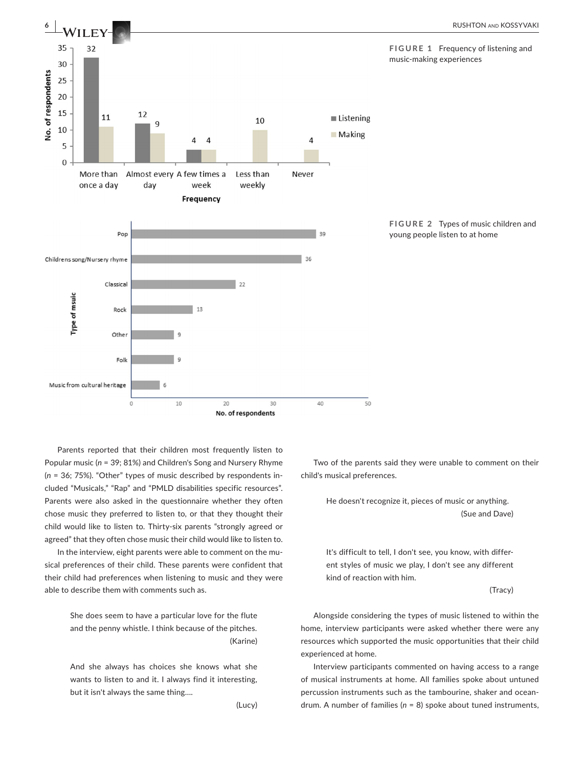

Parents reported that their children most frequently listen to Popular music (*n* = 39; 81%) and Children's Song and Nursery Rhyme (*n* = 36; 75%). "Other" types of music described by respondents included "Musicals," "Rap" and "PMLD disabilities specific resources". Parents were also asked in the questionnaire whether they often chose music they preferred to listen to, or that they thought their child would like to listen to. Thirty-six parents "strongly agreed or agreed" that they often chose music their child would like to listen to.

In the interview, eight parents were able to comment on the musical preferences of their child. These parents were confident that their child had preferences when listening to music and they were able to describe them with comments such as.

> She does seem to have a particular love for the flute and the penny whistle. I think because of the pitches. (Karine)

> And she always has choices she knows what she wants to listen to and it. I always find it interesting, but it isn't always the same thing….

> > (Lucy)

Two of the parents said they were unable to comment on their child's musical preferences.

> He doesn't recognize it, pieces of music or anything. (Sue and Dave)

> It's difficult to tell, I don't see, you know, with different styles of music we play, I don't see any different kind of reaction with him.

> > (Tracy)

Alongside considering the types of music listened to within the home, interview participants were asked whether there were any resources which supported the music opportunities that their child experienced at home.

Interview participants commented on having access to a range of musical instruments at home. All families spoke about untuned percussion instruments such as the tambourine, shaker and oceandrum. A number of families (*n* = 8) spoke about tuned instruments,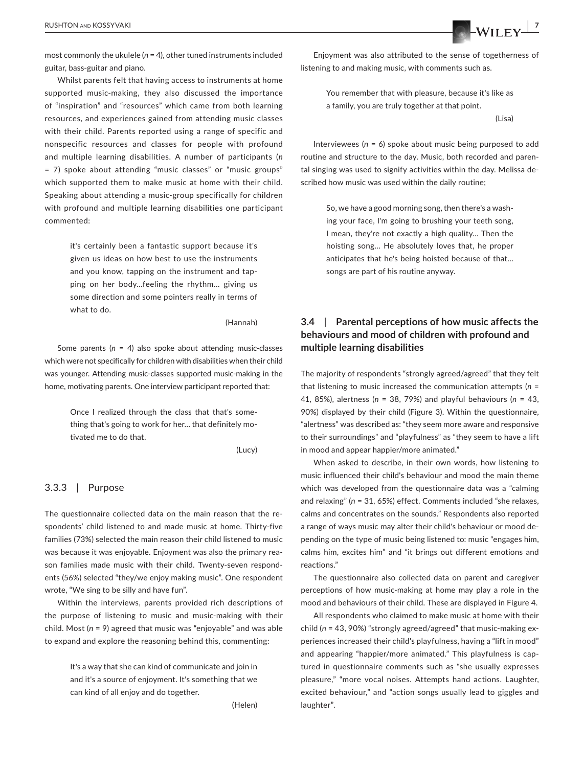most commonly the ukulele (*n* = 4), other tuned instruments included guitar, bass-guitar and piano.

Whilst parents felt that having access to instruments at home supported music-making, they also discussed the importance of "inspiration" and "resources" which came from both learning resources, and experiences gained from attending music classes with their child. Parents reported using a range of specific and nonspecific resources and classes for people with profound and multiple learning disabilities. A number of participants (*n* = 7) spoke about attending "music classes" or "music groups" which supported them to make music at home with their child. Speaking about attending a music-group specifically for children with profound and multiple learning disabilities one participant commented:

> it's certainly been a fantastic support because it's given us ideas on how best to use the instruments and you know, tapping on the instrument and tapping on her body…feeling the rhythm… giving us some direction and some pointers really in terms of what to do.

> > (Hannah)

Some parents (*n* = 4) also spoke about attending music-classes which were not specifically for children with disabilities when their child was younger. Attending music-classes supported music-making in the home, motivating parents. One interview participant reported that:

> Once I realized through the class that that's something that's going to work for her… that definitely motivated me to do that.

> > (Lucy)

#### 3.3.3 | Purpose

The questionnaire collected data on the main reason that the respondents' child listened to and made music at home. Thirty-five families (73%) selected the main reason their child listened to music was because it was enjoyable. Enjoyment was also the primary reason families made music with their child. Twenty-seven respondents (56%) selected "they/we enjoy making music". One respondent wrote, "We sing to be silly and have fun".

Within the interviews, parents provided rich descriptions of the purpose of listening to music and music-making with their child. Most (*n* = 9) agreed that music was "enjoyable" and was able to expand and explore the reasoning behind this, commenting:

> It's a way that she can kind of communicate and join in and it's a source of enjoyment. It's something that we can kind of all enjoy and do together.

> > (Helen)



Enjoyment was also attributed to the sense of togetherness of listening to and making music, with comments such as.

> You remember that with pleasure, because it's like as a family, you are truly together at that point.

> > (Lisa)

Interviewees (*n* = 6) spoke about music being purposed to add routine and structure to the day. Music, both recorded and parental singing was used to signify activities within the day. Melissa described how music was used within the daily routine;

> So, we have a good morning song, then there's a washing your face, I'm going to brushing your teeth song, I mean, they're not exactly a high quality… Then the hoisting song… He absolutely loves that, he proper anticipates that he's being hoisted because of that… songs are part of his routine anyway.

# **3.4**  | **Parental perceptions of how music affects the behaviours and mood of children with profound and multiple learning disabilities**

The majority of respondents "strongly agreed/agreed" that they felt that listening to music increased the communication attempts (*n* = 41, 85%), alertness (*n* = 38, 79%) and playful behaviours (*n* = 43, 90%) displayed by their child (Figure 3). Within the questionnaire, "alertness" was described as: "they seem more aware and responsive to their surroundings" and "playfulness" as "they seem to have a lift in mood and appear happier/more animated."

When asked to describe, in their own words, how listening to music influenced their child's behaviour and mood the main theme which was developed from the questionnaire data was a "calming and relaxing" (*n* = 31, 65%) effect. Comments included "she relaxes, calms and concentrates on the sounds." Respondents also reported a range of ways music may alter their child's behaviour or mood depending on the type of music being listened to: music "engages him, calms him, excites him" and "it brings out different emotions and reactions."

The questionnaire also collected data on parent and caregiver perceptions of how music-making at home may play a role in the mood and behaviours of their child. These are displayed in Figure 4.

All respondents who claimed to make music at home with their child (*n* = 43, 90%) "strongly agreed/agreed" that music-making experiences increased their child's playfulness, having a "lift in mood" and appearing "happier/more animated." This playfulness is captured in questionnaire comments such as "she usually expresses pleasure," "more vocal noises. Attempts hand actions. Laughter, excited behaviour," and "action songs usually lead to giggles and laughter".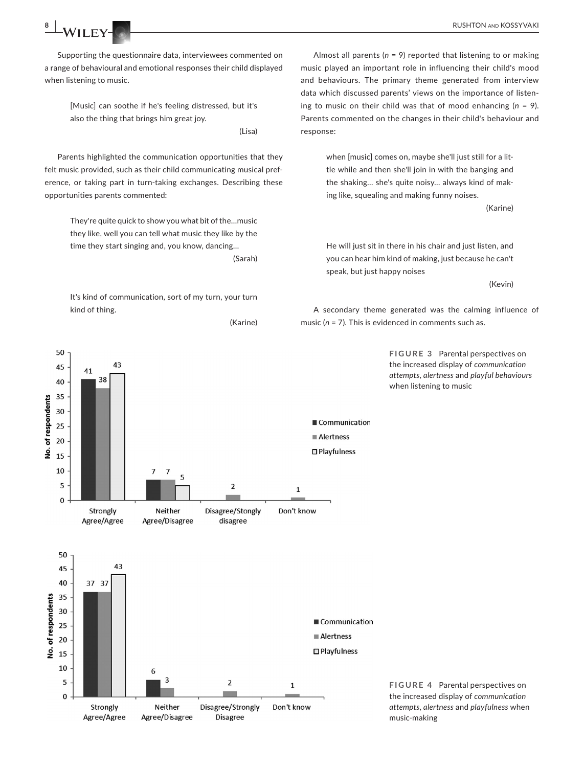**8 WILEY-COLLECTED RUSHTON AND KOSSYVAKI** 

50

45

40

35

 $41$ 

38

43

Supporting the questionnaire data, interviewees commented on a range of behavioural and emotional responses their child displayed when listening to music.

> [Music] can soothe if he's feeling distressed, but it's also the thing that brings him great joy.

> > (Lisa)

Parents highlighted the communication opportunities that they felt music provided, such as their child communicating musical preference, or taking part in turn-taking exchanges. Describing these opportunities parents commented:

> They're quite quick to show you what bit of the…music they like, well you can tell what music they like by the time they start singing and, you know, dancing… (Sarah)

> It's kind of communication, sort of my turn, your turn kind of thing.

> > (Karine)



when [music] comes on, maybe she'll just still for a little while and then she'll join in with the banging and the shaking… she's quite noisy… always kind of making like, squealing and making funny noises.

(Karine)

He will just sit in there in his chair and just listen, and you can hear him kind of making, just because he can't speak, but just happy noises

(Kevin)

A secondary theme generated was the calming influence of music (*n* = 7). This is evidenced in comments such as.

> **FIGURE 3** Parental perspectives on the increased display of *communication attempts*, *alertness* and *playful behaviours* when listening to music



**FIGURE 4** Parental perspectives on the increased display of *communication attempts*, *alertness* and *playfulness* when music-making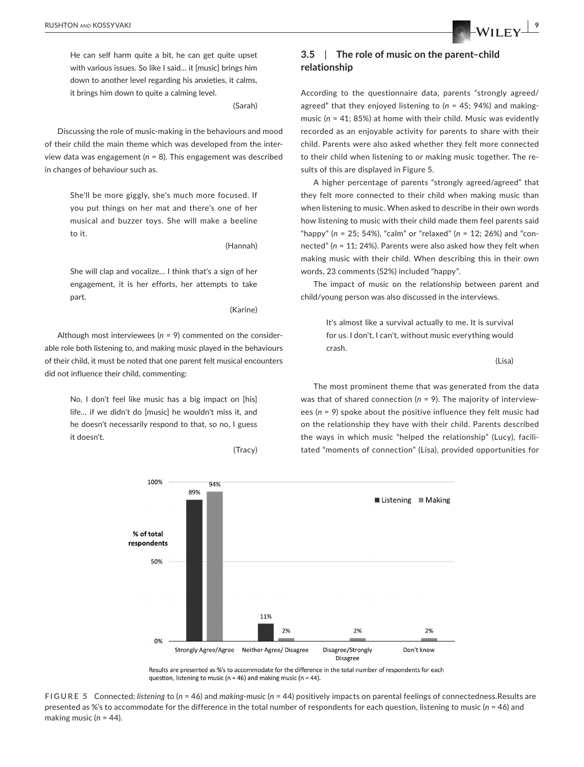He can self harm quite a bit, he can get quite upset with various issues. So like I said… it [music] brings him down to another level regarding his anxieties, it calms, it brings him down to quite a calming level.

(Sarah)

Discussing the role of music-making in the behaviours and mood of their child the main theme which was developed from the interview data was engagement (*n* = 8). This engagement was described in changes of behaviour such as.

> She'll be more giggly, she's much more focused. If you put things on her mat and there's one of her musical and buzzer toys. She will make a beeline to it.

> > (Hannah)

She will clap and vocalize… I think that's a sign of her engagement, it is her efforts, her attempts to take part.

(Karine)

Although most interviewees (*n* = 9) commented on the considerable role both listening to, and making music played in the behaviours of their child, it must be noted that one parent felt musical encounters did not influence their child, commenting:

> No, I don't feel like music has a big impact on [his] life… if we didn't do [music] he wouldn't miss it, and he doesn't necessarily respond to that, so no, I guess it doesn't.

> > (Tracy)



According to the questionnaire data, parents "strongly agreed/ agreed" that they enjoyed listening to (*n* = 45; 94%) and makingmusic (*n* = 41; 85%) at home with their child. Music was evidently recorded as an enjoyable activity for parents to share with their child. Parents were also asked whether they felt more connected to their child when listening to or making music together. The results of this are displayed in Figure 5.

A higher percentage of parents "strongly agreed/agreed" that they felt more connected to their child when making music than when listening to music. When asked to describe in their own words how listening to music with their child made them feel parents said "happy" (*n* = 25; 54%), "calm" or "relaxed" (*n* = 12; 26%) and "connected" (*n* = 11; 24%). Parents were also asked how they felt when making music with their child. When describing this in their own words, 23 comments (52%) included "happy".

The impact of music on the relationship between parent and child/young person was also discussed in the interviews.

> It's almost like a survival actually to me. It is survival for us. I don't, I can't, without music everything would crash.

> > (Lisa)

The most prominent theme that was generated from the data was that of shared connection (*n* = 9). The majority of interviewees (*n* = 9) spoke about the positive influence they felt music had on the relationship they have with their child. Parents described the ways in which music "helped the relationship" (Lucy), facilitated "moments of connection" (Lisa), provided opportunities for



Results are presented as %'s to accommodate for the difference in the total number of respondents for each question, listening to music ( $n = 46$ ) and making music ( $n = 44$ ).

**FIGURE 5** Connected; *listening* to (*n* = 46) and *making*-*music* (*n* = 44) positively impacts on parental feelings of connectedness.Results are presented as %'s to accommodate for the difference in the total number of respondents for each question, listening to music (*n* = 46) and making music (*n* = 44).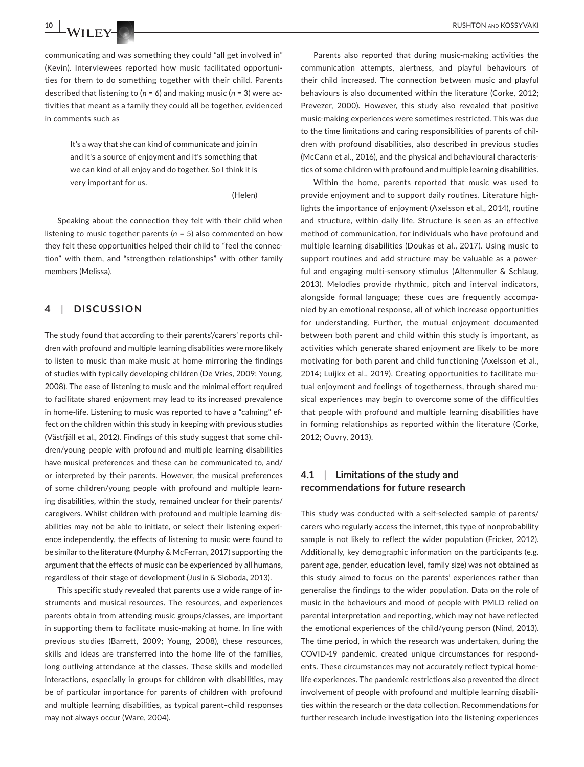communicating and was something they could "all get involved in" (Kevin). Interviewees reported how music facilitated opportunities for them to do something together with their child. Parents described that listening to (*n* = 6) and making music (*n* = 3) were activities that meant as a family they could all be together, evidenced in comments such as

> It's a way that she can kind of communicate and join in and it's a source of enjoyment and it's something that we can kind of all enjoy and do together. So I think it is very important for us.

> > (Helen)

Speaking about the connection they felt with their child when listening to music together parents (*n* = 5) also commented on how they felt these opportunities helped their child to "feel the connection" with them, and "strengthen relationships" with other family members (Melissa).

# **4**  | **DISCUSSION**

The study found that according to their parents'/carers' reports children with profound and multiple learning disabilities were more likely to listen to music than make music at home mirroring the findings of studies with typically developing children (De Vries, 2009; Young, 2008). The ease of listening to music and the minimal effort required to facilitate shared enjoyment may lead to its increased prevalence in home-life. Listening to music was reported to have a "calming" effect on the children within this study in keeping with previous studies (Västfjäll et al., 2012). Findings of this study suggest that some children/young people with profound and multiple learning disabilities have musical preferences and these can be communicated to, and/ or interpreted by their parents. However, the musical preferences of some children/young people with profound and multiple learning disabilities, within the study, remained unclear for their parents/ caregivers. Whilst children with profound and multiple learning disabilities may not be able to initiate, or select their listening experience independently, the effects of listening to music were found to be similar to the literature (Murphy & McFerran, 2017) supporting the argument that the effects of music can be experienced by all humans, regardless of their stage of development (Juslin & Sloboda, 2013).

This specific study revealed that parents use a wide range of instruments and musical resources. The resources, and experiences parents obtain from attending music groups/classes, are important in supporting them to facilitate music-making at home. In line with previous studies (Barrett, 2009; Young, 2008), these resources, skills and ideas are transferred into the home life of the families, long outliving attendance at the classes. These skills and modelled interactions, especially in groups for children with disabilities, may be of particular importance for parents of children with profound and multiple learning disabilities, as typical parent–child responses may not always occur (Ware, 2004).

Parents also reported that during music-making activities the communication attempts, alertness, and playful behaviours of their child increased. The connection between music and playful behaviours is also documented within the literature (Corke, 2012; Prevezer, 2000). However, this study also revealed that positive music-making experiences were sometimes restricted. This was due to the time limitations and caring responsibilities of parents of children with profound disabilities, also described in previous studies (McCann et al., 2016), and the physical and behavioural characteristics of some children with profound and multiple learning disabilities.

Within the home, parents reported that music was used to provide enjoyment and to support daily routines. Literature highlights the importance of enjoyment (Axelsson et al., 2014), routine and structure, within daily life. Structure is seen as an effective method of communication, for individuals who have profound and multiple learning disabilities (Doukas et al., 2017). Using music to support routines and add structure may be valuable as a powerful and engaging multi-sensory stimulus (Altenmuller & Schlaug, 2013). Melodies provide rhythmic, pitch and interval indicators, alongside formal language; these cues are frequently accompanied by an emotional response, all of which increase opportunities for understanding. Further, the mutual enjoyment documented between both parent and child within this study is important, as activities which generate shared enjoyment are likely to be more motivating for both parent and child functioning (Axelsson et al., 2014; Luijkx et al., 2019). Creating opportunities to facilitate mutual enjoyment and feelings of togetherness, through shared musical experiences may begin to overcome some of the difficulties that people with profound and multiple learning disabilities have in forming relationships as reported within the literature (Corke, 2012; Ouvry, 2013).

# **4.1**  | **Limitations of the study and recommendations for future research**

This study was conducted with a self-selected sample of parents/ carers who regularly access the internet, this type of nonprobability sample is not likely to reflect the wider population (Fricker, 2012). Additionally, key demographic information on the participants (e.g. parent age, gender, education level, family size) was not obtained as this study aimed to focus on the parents' experiences rather than generalise the findings to the wider population. Data on the role of music in the behaviours and mood of people with PMLD relied on parental interpretation and reporting, which may not have reflected the emotional experiences of the child/young person (Nind, 2013). The time period, in which the research was undertaken, during the COVID-19 pandemic, created unique circumstances for respondents. These circumstances may not accurately reflect typical homelife experiences. The pandemic restrictions also prevented the direct involvement of people with profound and multiple learning disabilities within the research or the data collection. Recommendations for further research include investigation into the listening experiences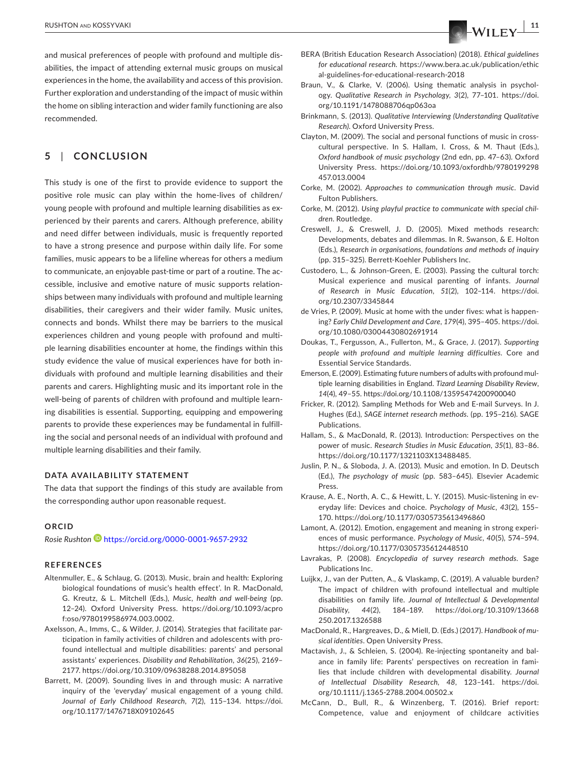and musical preferences of people with profound and multiple disabilities, the impact of attending external music groups on musical experiences in the home, the availability and access of this provision. Further exploration and understanding of the impact of music within the home on sibling interaction and wider family functioning are also recommended.

# **5**  | **CONCLUSION**

This study is one of the first to provide evidence to support the positive role music can play within the home-lives of children/ young people with profound and multiple learning disabilities as experienced by their parents and carers. Although preference, ability and need differ between individuals, music is frequently reported to have a strong presence and purpose within daily life. For some families, music appears to be a lifeline whereas for others a medium to communicate, an enjoyable past-time or part of a routine. The accessible, inclusive and emotive nature of music supports relationships between many individuals with profound and multiple learning disabilities, their caregivers and their wider family. Music unites, connects and bonds. Whilst there may be barriers to the musical experiences children and young people with profound and multiple learning disabilities encounter at home, the findings within this study evidence the value of musical experiences have for both individuals with profound and multiple learning disabilities and their parents and carers. Highlighting music and its important role in the well-being of parents of children with profound and multiple learning disabilities is essential. Supporting, equipping and empowering parents to provide these experiences may be fundamental in fulfilling the social and personal needs of an individual with profound and multiple learning disabilities and their family.

#### **DATA AVAILABILITY STATEMENT**

The data that support the findings of this study are available from the corresponding author upon reasonable request.

#### **ORCID**

*Rosie Rushto[n](https://orcid.org/0000-0001-9657-2932)* <https://orcid.org/0000-0001-9657-2932>

#### **REFERENCES**

- Altenmuller, E., & Schlaug, G. (2013). Music, brain and health: Exploring biological foundations of music's health effect'. In R. MacDonald, G. Kreutz, & L. Mitchell (Eds.), *Music, health and well-being* (pp. 12–24). Oxford University Press. [https://doi.org/10.1093/acpro](https://doi.org/10.1093/acprof:oso/9780199586974.003.0002) [f:oso/9780199586974.003.0002.](https://doi.org/10.1093/acprof:oso/9780199586974.003.0002)
- Axelsson, A., Imms, C., & Wilder, J. (2014). Strategies that facilitate participation in family activities of children and adolescents with profound intellectual and multiple disabilities: parents' and personal assistants' experiences. *Disability and Rehabilitation*, *36*(25), 2169– 2177.<https://doi.org/10.3109/09638288.2014.895058>
- Barrett, M. (2009). Sounding lives in and through music: A narrative inquiry of the 'everyday' musical engagement of a young child. *Journal of Early Childhood Research*, *7*(2), 115–134. [https://doi.](https://doi.org/10.1177/1476718X09102645) [org/10.1177/1476718X09102645](https://doi.org/10.1177/1476718X09102645)
- BERA (British Education Research Association) (2018). *Ethical guidelines for educational research*. [https://www.bera.ac.uk/publication/ethic](https://www.bera.ac.uk/publication/ethical-guidelines-for-educational-research-2018) [al-guidelines-for-educational-research-2018](https://www.bera.ac.uk/publication/ethical-guidelines-for-educational-research-2018)
- Braun, V., & Clarke, V. (2006). Using thematic analysis in psychology. *Qualitative Research in Psychology*, *3*(2), 77–101. [https://doi.](https://doi.org/10.1191/1478088706qp063oa) [org/10.1191/1478088706qp063oa](https://doi.org/10.1191/1478088706qp063oa)
- Brinkmann, S. (2013). *Qualitative Interviewing (Understanding Qualitative Research)*. Oxford University Press.
- Clayton, M. (2009). The social and personal functions of music in crosscultural perspective. In S. Hallam, I. Cross, & M. Thaut (Eds.), *Oxford handbook of music psychology* (2nd edn, pp. 47–63). Oxford University Press. [https://doi.org/10.1093/oxfordhb/9780199298](https://doi.org/10.1093/oxfordhb/9780199298457.013.0004) [457.013.0004](https://doi.org/10.1093/oxfordhb/9780199298457.013.0004)
- Corke, M. (2002). *Approaches to communication through music*. David Fulton Publishers.
- Corke, M. (2012). *Using playful practice to communicate with special children*. Routledge.
- Creswell, J., & Creswell, J. D. (2005). Mixed methods research: Developments, debates and dilemmas. In R. Swanson, & E. Holton (Eds.), *Research in organisations, foundations and methods of inquiry* (pp. 315–325). Berrett-Koehler Publishers Inc.
- Custodero, L., & Johnson-Green, E. (2003). Passing the cultural torch: Musical experience and musical parenting of infants. *Journal of Research in Music Education*, *51*(2), 102–114. [https://doi.](https://doi.org/10.2307/3345844) [org/10.2307/3345844](https://doi.org/10.2307/3345844)
- de Vries, P. (2009). Music at home with the under fives: what is happening? *Early Child Development and Care*, *179*(4), 395–405. [https://doi.](https://doi.org/10.1080/03004430802691914) [org/10.1080/03004430802691914](https://doi.org/10.1080/03004430802691914)
- Doukas, T., Fergusson, A., Fullerton, M., & Grace, J. (2017). *Supporting people with profound and multiple learning difficulties*. Core and Essential Service Standards.
- Emerson, E. (2009). Estimating future numbers of adults with profound multiple learning disabilities in England. *Tizard Learning Disability Review*, *14*(4), 49–55. <https://doi.org/10.1108/13595474200900040>
- Fricker, R. (2012). Sampling Methods for Web and E-mail Surveys. In J. Hughes (Ed.), *SAGE internet research methods*. (pp. 195–216). SAGE Publications.
- Hallam, S., & MacDonald, R. (2013). Introduction: Perspectives on the power of music. *Research Studies in Music Education*, *35*(1), 83–86. [https://doi.org/10.1177/1321103X13488485.](https://doi.org/10.1177/1321103X13488485)
- Juslin, P. N., & Sloboda, J. A. (2013). Music and emotion. In D. Deutsch (Ed.), *The psychology of music* (pp. 583–645). Elsevier Academic Press.
- Krause, A. E., North, A. C., & Hewitt, L. Y. (2015). Music-listening in everyday life: Devices and choice. *Psychology of Music*, *43*(2), 155– 170. <https://doi.org/10.1177/0305735613496860>
- Lamont, A. (2012). Emotion, engagement and meaning in strong experiences of music performance. *Psychology of Music*, *40*(5), 574–594. <https://doi.org/10.1177/0305735612448510>
- Lavrakas, P. (2008). *Encyclopedia of survey research methods*. Sage Publications Inc.
- Luijkx, J., van der Putten, A., & Vlaskamp, C. (2019). A valuable burden? The impact of children with profound intellectual and multiple disabilities on family life. *Journal of Intellectual & Developmental Disability*, *44*(2), 184–189. [https://doi.org/10.3109/13668](https://doi.org/10.3109/13668250.2017.1326588) [250.2017.1326588](https://doi.org/10.3109/13668250.2017.1326588)
- MacDonald, R., Hargreaves, D., & Miell, D. (Eds.) (2017). *Handbook of musical identities*. Open University Press.
- Mactavish, J., & Schleien, S. (2004). Re-injecting spontaneity and balance in family life: Parents' perspectives on recreation in families that include children with developmental disability. *Journal of Intellectual Disability Research*, *48*, 123–141. [https://doi.](https://doi.org/10.1111/j.1365-2788.2004.00502.x) [org/10.1111/j.1365-2788.2004.00502.x](https://doi.org/10.1111/j.1365-2788.2004.00502.x)
- McCann, D., Bull, R., & Winzenberg, T. (2016). Brief report: Competence, value and enjoyment of childcare activities